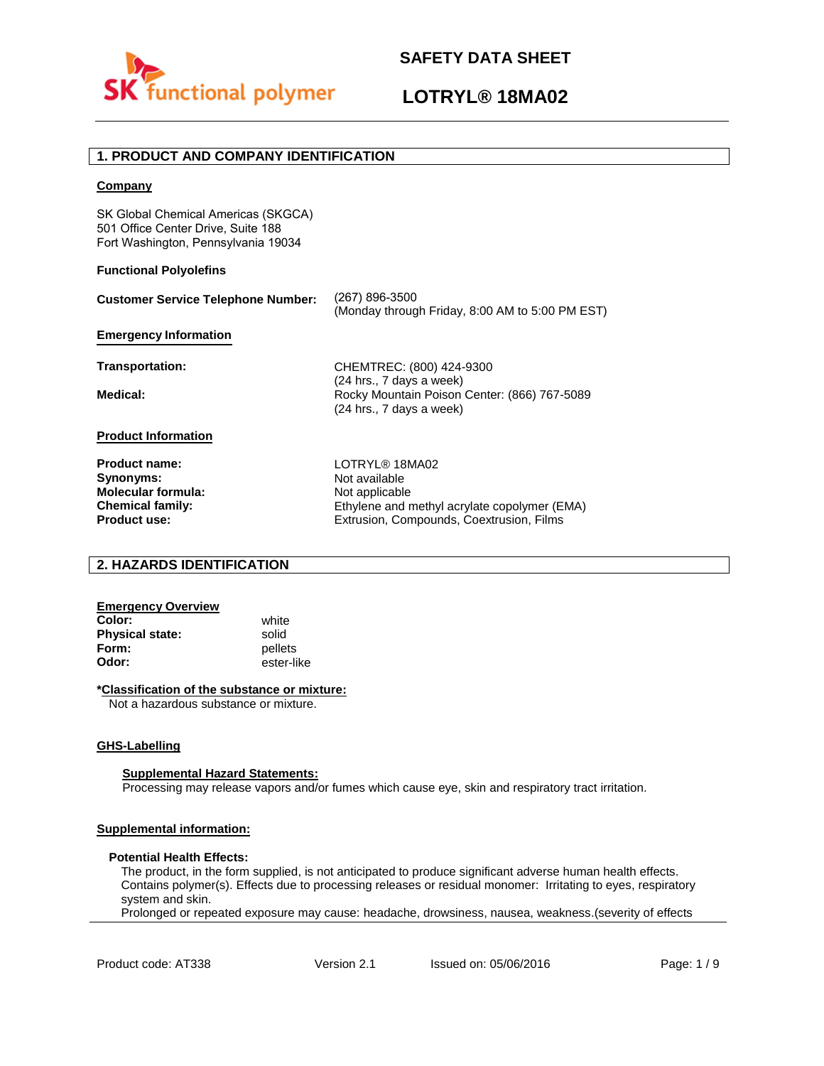

# **LOTRYL® 18MA02**

# **1. PRODUCT AND COMPANY IDENTIFICATION**

### **Company**

SK Global Chemical Americas (SKGCA) 501 Office Center Drive, Suite 188 Fort Washington, Pennsylvania 19034

### **Functional Polyolefins**

| <b>Customer Service Telephone Number:</b> | (267) 896-3500<br>(Monday through Friday, 8:00 AM to 5:00 PM EST)        |
|-------------------------------------------|--------------------------------------------------------------------------|
| <b>Emergency Information</b>              |                                                                          |
| Transportation:                           | CHEMTREC: (800) 424-9300<br>$(24$ hrs., 7 days a week)                   |
| Medical:                                  | Rocky Mountain Poison Center: (866) 767-5089<br>(24 hrs., 7 days a week) |
| <b>Product Information</b>                |                                                                          |
| <b>Product name:</b>                      | LOTRYL® 18MA02                                                           |
| Synonyms:                                 | Not available                                                            |
| <b>Molecular formula:</b>                 | Not applicable                                                           |
| <b>Chemical family:</b>                   | Ethylene and methyl acrylate copolymer (EMA)                             |
| <b>Product use:</b>                       | Extrusion, Compounds, Coextrusion, Films                                 |

# **2. HAZARDS IDENTIFICATION**

## **Emergency Overview**

**Color:** white **Physical state:** solid<br> **Form:** nellet **Form:** pellets<br> **Odor:** ester-li

**Odor:** ester-like

### **\*Classification of the substance or mixture:**

Not a hazardous substance or mixture.

#### **GHS-Labelling**

#### **Supplemental Hazard Statements:**

Processing may release vapors and/or fumes which cause eye, skin and respiratory tract irritation.

# **Supplemental information:**

#### **Potential Health Effects:**

The product, in the form supplied, is not anticipated to produce significant adverse human health effects. Contains polymer(s). Effects due to processing releases or residual monomer: Irritating to eyes, respiratory system and skin.

Prolonged or repeated exposure may cause: headache, drowsiness, nausea, weakness.(severity of effects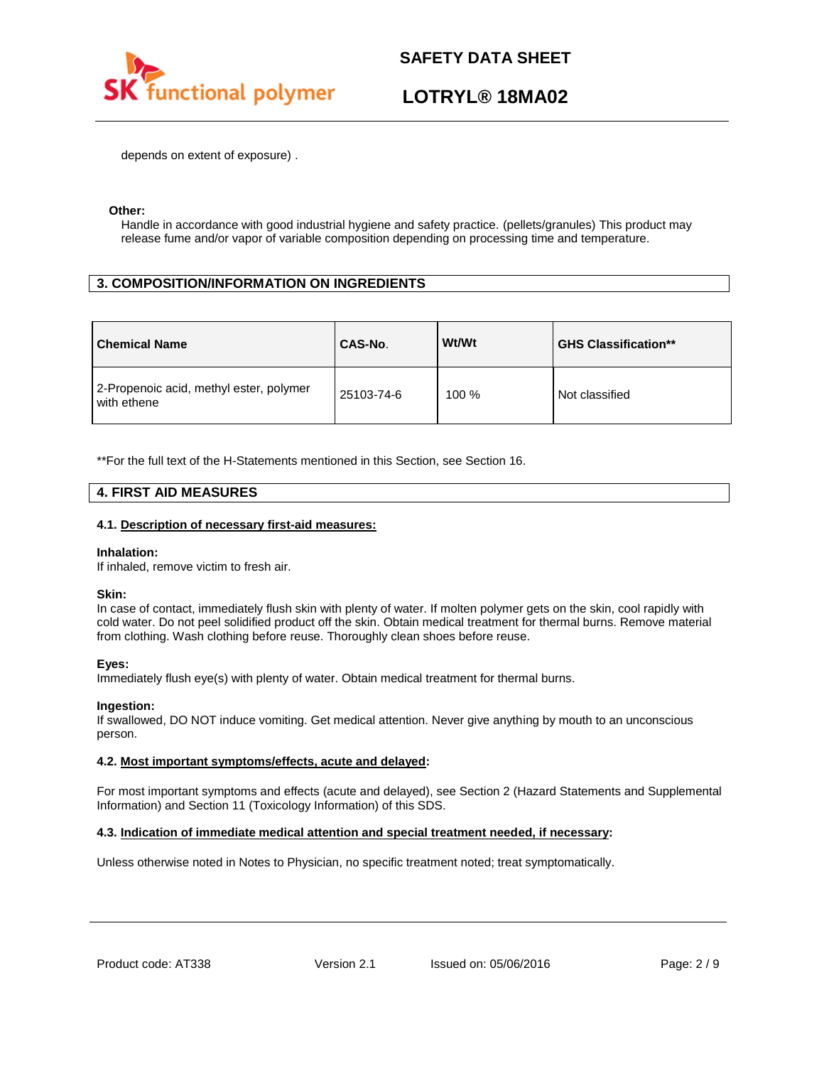

# **LOTRYL® 18MA02**

depends on extent of exposure) .

### **Other:**

Handle in accordance with good industrial hygiene and safety practice. (pellets/granules) This product may release fume and/or vapor of variable composition depending on processing time and temperature.

# **3. COMPOSITION/INFORMATION ON INGREDIENTS**

| <b>Chemical Name</b>                                   | CAS-No.    | Wt/Wt | <b>GHS Classification**</b> |
|--------------------------------------------------------|------------|-------|-----------------------------|
| 2-Propenoic acid, methyl ester, polymer<br>with ethene | 25103-74-6 | 100 % | Not classified              |

\*\*For the full text of the H-Statements mentioned in this Section, see Section 16.

## **4. FIRST AID MEASURES**

### **4.1. Description of necessary first-aid measures:**

#### **Inhalation:**

If inhaled, remove victim to fresh air.

#### **Skin:**

In case of contact, immediately flush skin with plenty of water. If molten polymer gets on the skin, cool rapidly with cold water. Do not peel solidified product off the skin. Obtain medical treatment for thermal burns. Remove material from clothing. Wash clothing before reuse. Thoroughly clean shoes before reuse.

## **Eyes:**

Immediately flush eye(s) with plenty of water. Obtain medical treatment for thermal burns.

## **Ingestion:**

If swallowed, DO NOT induce vomiting. Get medical attention. Never give anything by mouth to an unconscious person.

## **4.2. Most important symptoms/effects, acute and delayed:**

For most important symptoms and effects (acute and delayed), see Section 2 (Hazard Statements and Supplemental Information) and Section 11 (Toxicology Information) of this SDS.

## **4.3. Indication of immediate medical attention and special treatment needed, if necessary:**

Unless otherwise noted in Notes to Physician, no specific treatment noted; treat symptomatically.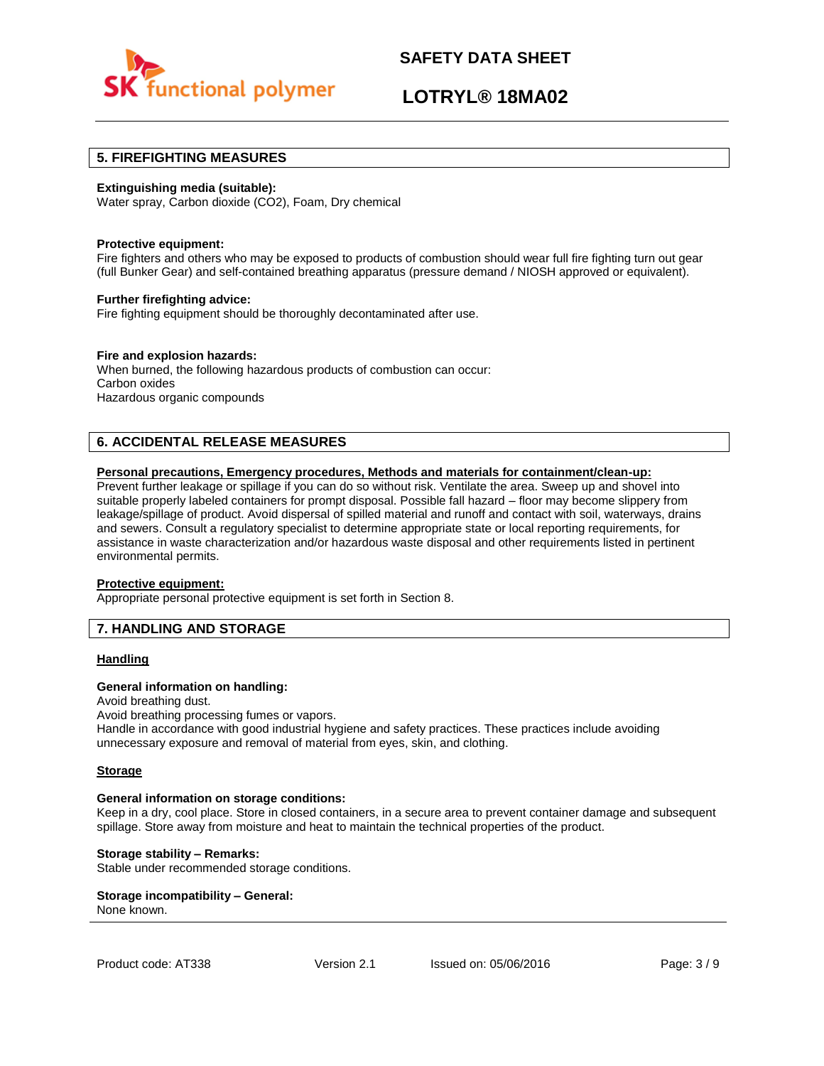

# **LOTRYL® 18MA02**

## **5. FIREFIGHTING MEASURES**

### **Extinguishing media (suitable):**

Water spray, Carbon dioxide (CO2), Foam, Dry chemical

#### **Protective equipment:**

Fire fighters and others who may be exposed to products of combustion should wear full fire fighting turn out gear (full Bunker Gear) and self-contained breathing apparatus (pressure demand / NIOSH approved or equivalent).

#### **Further firefighting advice:**

Fire fighting equipment should be thoroughly decontaminated after use.

### **Fire and explosion hazards:**

When burned, the following hazardous products of combustion can occur: Carbon oxides Hazardous organic compounds

# **6. ACCIDENTAL RELEASE MEASURES**

### **Personal precautions, Emergency procedures, Methods and materials for containment/clean-up:**

Prevent further leakage or spillage if you can do so without risk. Ventilate the area. Sweep up and shovel into suitable properly labeled containers for prompt disposal. Possible fall hazard – floor may become slippery from leakage/spillage of product. Avoid dispersal of spilled material and runoff and contact with soil, waterways, drains and sewers. Consult a regulatory specialist to determine appropriate state or local reporting requirements, for assistance in waste characterization and/or hazardous waste disposal and other requirements listed in pertinent environmental permits.

#### **Protective equipment:**

Appropriate personal protective equipment is set forth in Section 8.

# **7. HANDLING AND STORAGE**

## **Handling**

#### **General information on handling:**

Avoid breathing dust.

Avoid breathing processing fumes or vapors.

Handle in accordance with good industrial hygiene and safety practices. These practices include avoiding unnecessary exposure and removal of material from eyes, skin, and clothing.

#### **Storage**

#### **General information on storage conditions:**

Keep in a dry, cool place. Store in closed containers, in a secure area to prevent container damage and subsequent spillage. Store away from moisture and heat to maintain the technical properties of the product.

### **Storage stability – Remarks:**

Stable under recommended storage conditions.

#### **Storage incompatibility – General:**  None known.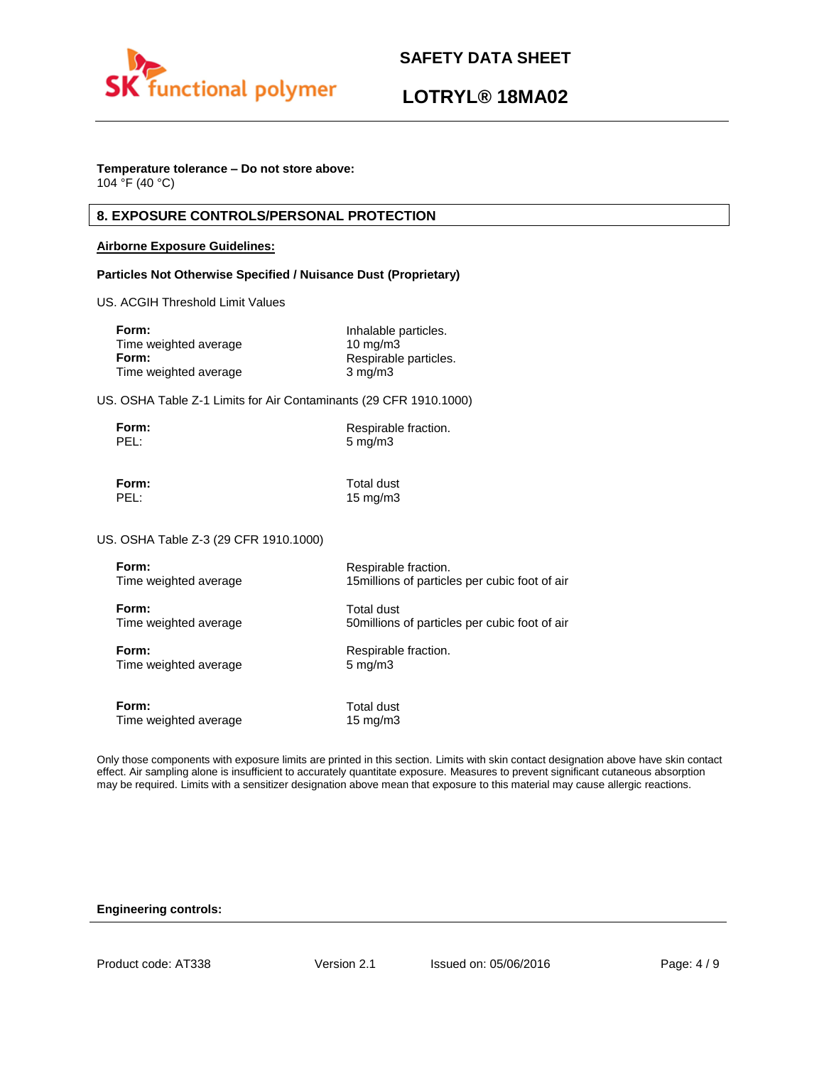

# **LOTRYL® 18MA02**

# **Temperature tolerance – Do not store above:**

104 °F (40 °C)

# **8. EXPOSURE CONTROLS/PERSONAL PROTECTION**

## **Airborne Exposure Guidelines:**

## **Particles Not Otherwise Specified / Nuisance Dust (Proprietary)**

US. ACGIH Threshold Limit Values

| Inhalable particles.  |
|-----------------------|
| $10 \text{ mg/m}$     |
| Respirable particles. |
| $3 \text{ mg/m}$      |
|                       |

US. OSHA Table Z-1 Limits for Air Contaminants (29 CFR 1910.1000)

| Form: | Respirable fraction. |
|-------|----------------------|
| PEL:  | $5 \text{ mg/m}$     |

**Form:** Total dust PEL: 15 mg/m3

US. OSHA Table Z-3 (29 CFR 1910.1000)

| Form:                 | Respirable fraction.                           |
|-----------------------|------------------------------------------------|
| Time weighted average | 15 millions of particles per cubic foot of air |
| Form:                 | <b>Total dust</b>                              |
| Time weighted average | 50 millions of particles per cubic foot of air |
| Form:                 | Respirable fraction.                           |
| Time weighted average | $5 \text{ mg/m}$                               |
| Form:                 | Total dust                                     |
| Time weighted average | $15 \text{ mg/m}$                              |

Only those components with exposure limits are printed in this section. Limits with skin contact designation above have skin contact effect. Air sampling alone is insufficient to accurately quantitate exposure. Measures to prevent significant cutaneous absorption may be required. Limits with a sensitizer designation above mean that exposure to this material may cause allergic reactions.

## **Engineering controls:**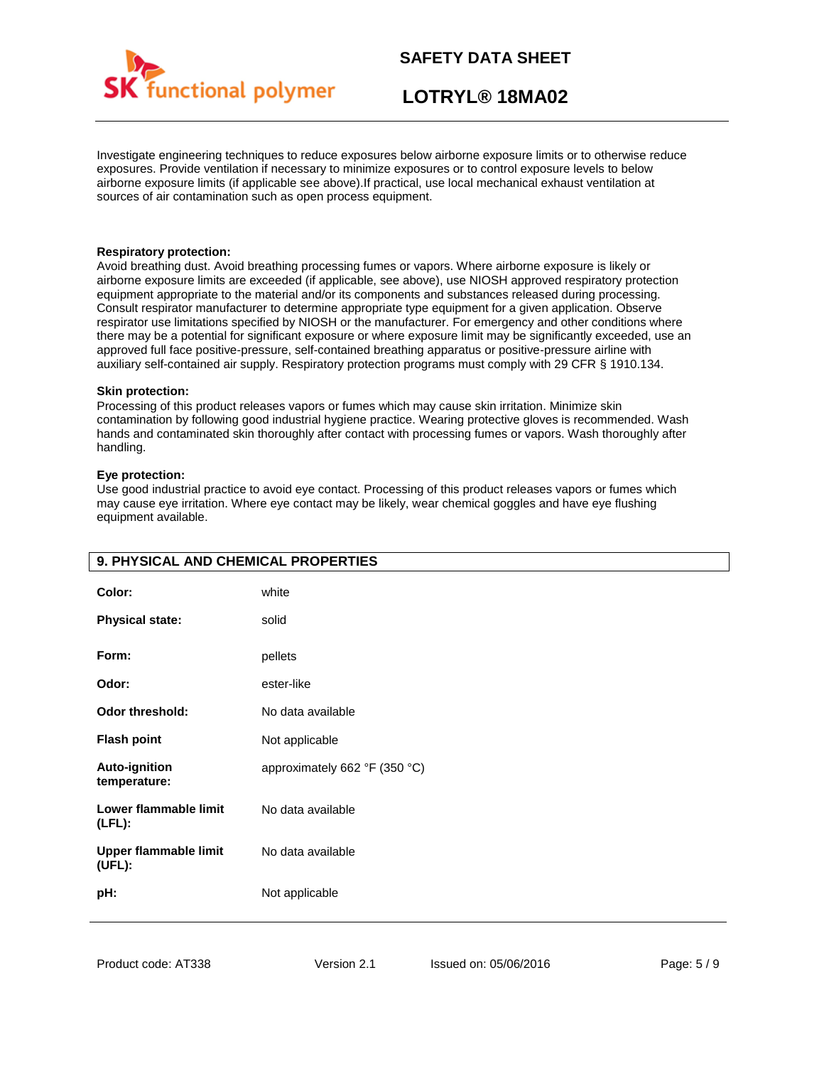

# **LOTRYL® 18MA02**

Investigate engineering techniques to reduce exposures below airborne exposure limits or to otherwise reduce exposures. Provide ventilation if necessary to minimize exposures or to control exposure levels to below airborne exposure limits (if applicable see above).If practical, use local mechanical exhaust ventilation at sources of air contamination such as open process equipment.

### **Respiratory protection:**

Avoid breathing dust. Avoid breathing processing fumes or vapors. Where airborne exposure is likely or airborne exposure limits are exceeded (if applicable, see above), use NIOSH approved respiratory protection equipment appropriate to the material and/or its components and substances released during processing. Consult respirator manufacturer to determine appropriate type equipment for a given application. Observe respirator use limitations specified by NIOSH or the manufacturer. For emergency and other conditions where there may be a potential for significant exposure or where exposure limit may be significantly exceeded, use an approved full face positive-pressure, self-contained breathing apparatus or positive-pressure airline with auxiliary self-contained air supply. Respiratory protection programs must comply with 29 CFR § 1910.134.

### **Skin protection:**

Processing of this product releases vapors or fumes which may cause skin irritation. Minimize skin contamination by following good industrial hygiene practice. Wearing protective gloves is recommended. Wash hands and contaminated skin thoroughly after contact with processing fumes or vapors. Wash thoroughly after handling.

## **Eye protection:**

Use good industrial practice to avoid eye contact. Processing of this product releases vapors or fumes which may cause eye irritation. Where eye contact may be likely, wear chemical goggles and have eye flushing equipment available.

| 9. PHYSICAL AND CHEMICAL PROPERTIES    |                               |
|----------------------------------------|-------------------------------|
| Color:                                 | white                         |
| <b>Physical state:</b>                 | solid                         |
| Form:                                  | pellets                       |
| Odor:                                  | ester-like                    |
| <b>Odor threshold:</b>                 | No data available             |
| <b>Flash point</b>                     | Not applicable                |
| <b>Auto-ignition</b><br>temperature:   | approximately 662 °F (350 °C) |
| Lower flammable limit<br>$(LFL)$ :     | No data available             |
| <b>Upper flammable limit</b><br>(UEL): | No data available             |
| pH:                                    | Not applicable                |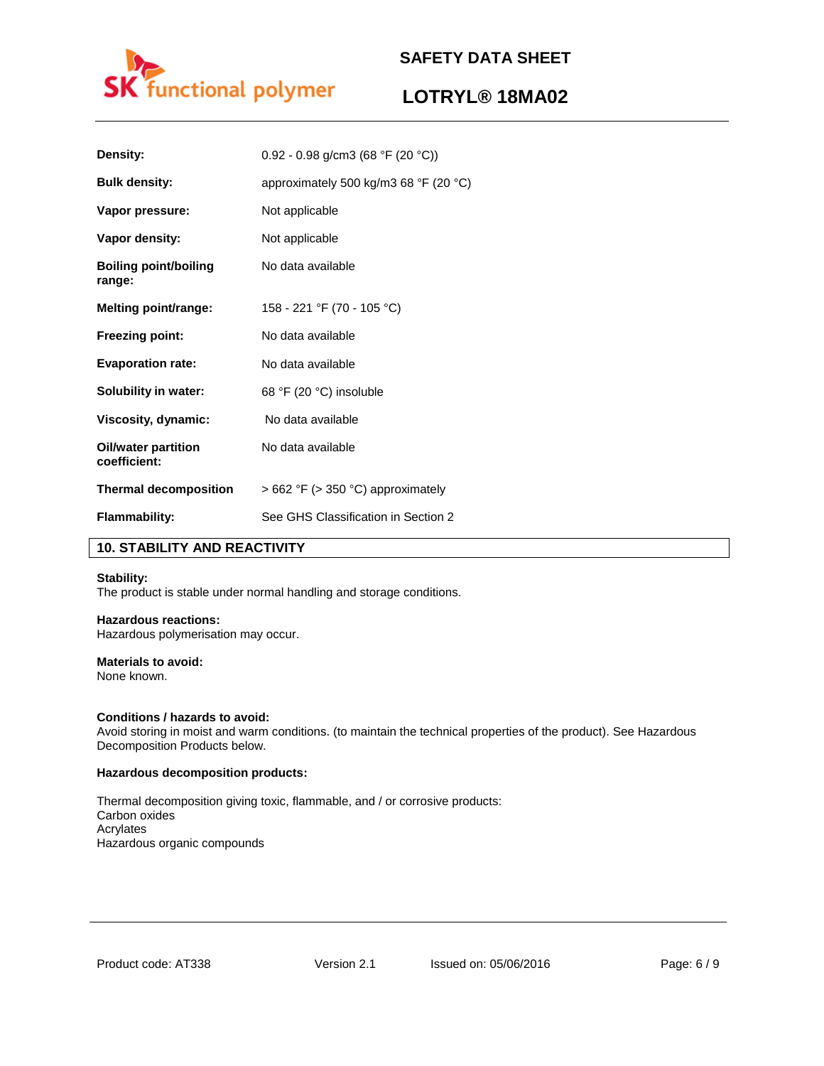

# **LOTRYL® 18MA02**

| Density:                               | 0.92 - 0.98 g/cm3 (68 °F (20 °C))                       |
|----------------------------------------|---------------------------------------------------------|
| <b>Bulk density:</b>                   | approximately 500 kg/m3 68 $\degree$ F (20 $\degree$ C) |
| Vapor pressure:                        | Not applicable                                          |
| Vapor density:                         | Not applicable                                          |
| <b>Boiling point/boiling</b><br>range: | No data available                                       |
| Melting point/range:                   | 158 - 221 °F (70 - 105 °C)                              |
| <b>Freezing point:</b>                 | No data available                                       |
| <b>Evaporation rate:</b>               | No data available                                       |
| <b>Solubility in water:</b>            | 68 °F (20 °C) insoluble                                 |
| Viscosity, dynamic:                    | No data available                                       |
| Oil/water partition<br>coefficient:    | No data available                                       |
| <b>Thermal decomposition</b>           | $>662$ °F ( $>350$ °C) approximately                    |
| <b>Flammability:</b>                   | See GHS Classification in Section 2                     |

# **10. STABILITY AND REACTIVITY**

## **Stability:**

The product is stable under normal handling and storage conditions.

# **Hazardous reactions:**

Hazardous polymerisation may occur.

# **Materials to avoid:**

None known.

## **Conditions / hazards to avoid:**

Avoid storing in moist and warm conditions. (to maintain the technical properties of the product). See Hazardous Decomposition Products below.

#### **Hazardous decomposition products:**

Thermal decomposition giving toxic, flammable, and / or corrosive products: Carbon oxides Acrylates Hazardous organic compounds

Product code: AT338 Version 2.1 Issued on: 05/06/2016 Page: 6 / 9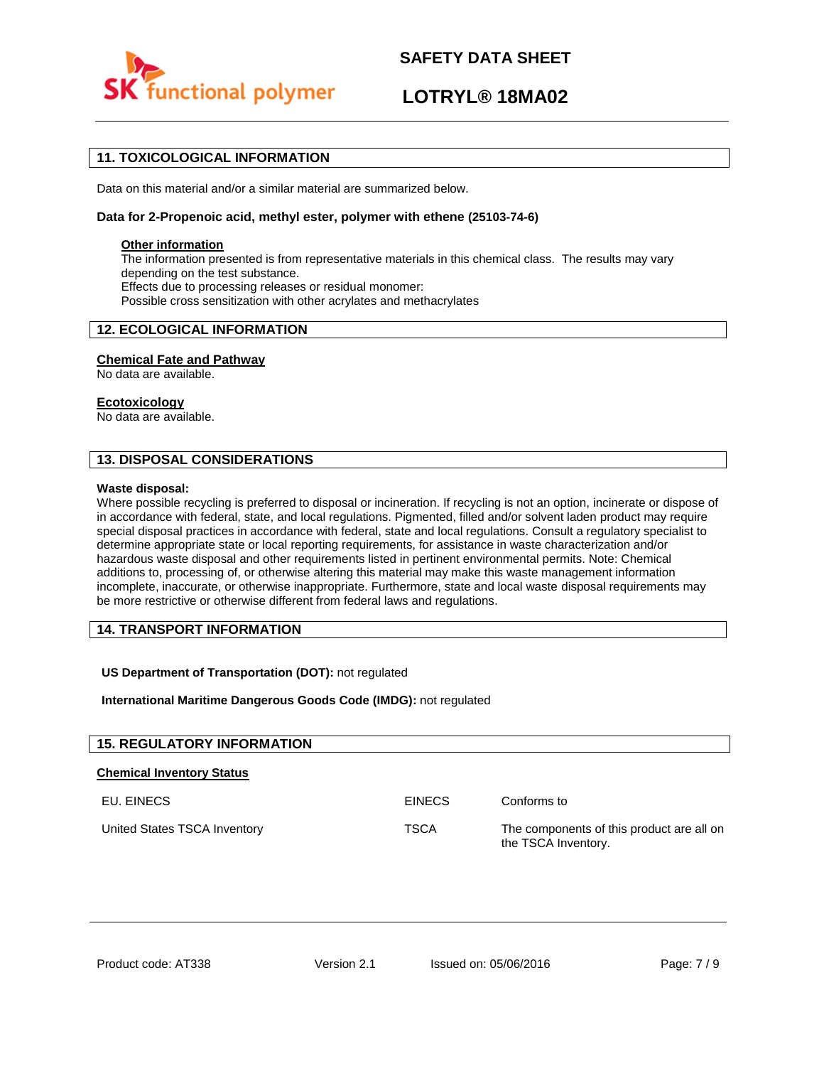

# **LOTRYL® 18MA02**

# **11. TOXICOLOGICAL INFORMATION**

Data on this material and/or a similar material are summarized below.

## **Data for 2-Propenoic acid, methyl ester, polymer with ethene (25103-74-6)**

### **Other information**

The information presented is from representative materials in this chemical class. The results may vary depending on the test substance. Effects due to processing releases or residual monomer: Possible cross sensitization with other acrylates and methacrylates

# **12. ECOLOGICAL INFORMATION**

## **Chemical Fate and Pathway**

No data are available.

### **Ecotoxicology**

No data are available.

# **13. DISPOSAL CONSIDERATIONS**

#### **Waste disposal:**

Where possible recycling is preferred to disposal or incineration. If recycling is not an option, incinerate or dispose of in accordance with federal, state, and local regulations. Pigmented, filled and/or solvent laden product may require special disposal practices in accordance with federal, state and local regulations. Consult a regulatory specialist to determine appropriate state or local reporting requirements, for assistance in waste characterization and/or hazardous waste disposal and other requirements listed in pertinent environmental permits. Note: Chemical additions to, processing of, or otherwise altering this material may make this waste management information incomplete, inaccurate, or otherwise inappropriate. Furthermore, state and local waste disposal requirements may be more restrictive or otherwise different from federal laws and regulations.

# **14. TRANSPORT INFORMATION**

## **US Department of Transportation (DOT):** not regulated

**International Maritime Dangerous Goods Code (IMDG):** not regulated

| <b>15. REGULATORY INFORMATION</b> |               |                                                                  |
|-----------------------------------|---------------|------------------------------------------------------------------|
| <b>Chemical Inventory Status</b>  |               |                                                                  |
| EU. EINECS                        | <b>EINECS</b> | Conforms to                                                      |
| United States TSCA Inventory      | <b>TSCA</b>   | The components of this product are all on<br>the TSCA Inventory. |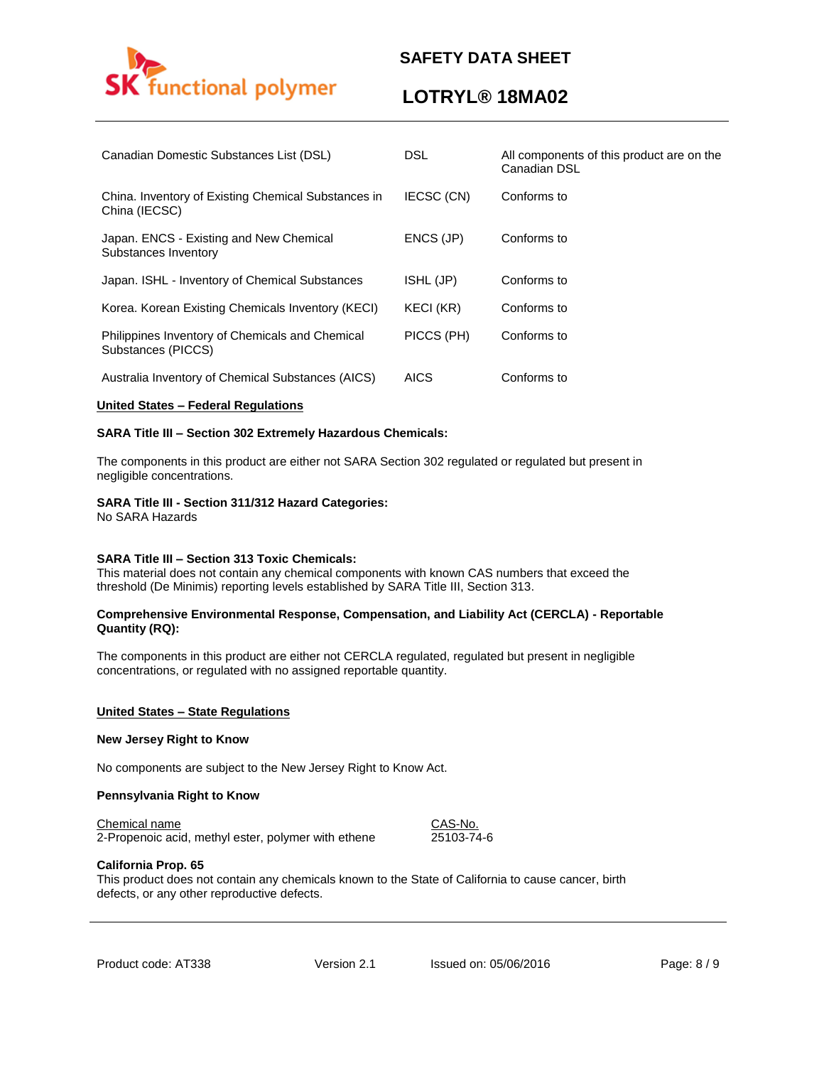

# **LOTRYL® 18MA02**

| Canadian Domestic Substances List (DSL)                               | <b>DSL</b>  | All components of this product are on the<br>Canadian DSL |
|-----------------------------------------------------------------------|-------------|-----------------------------------------------------------|
| China. Inventory of Existing Chemical Substances in<br>China (IECSC)  | IECSC (CN)  | Conforms to                                               |
| Japan. ENCS - Existing and New Chemical<br>Substances Inventory       | ENCS (JP)   | Conforms to                                               |
| Japan. ISHL - Inventory of Chemical Substances                        | ISHL (JP)   | Conforms to                                               |
| Korea. Korean Existing Chemicals Inventory (KECI)                     | KECI (KR)   | Conforms to                                               |
| Philippines Inventory of Chemicals and Chemical<br>Substances (PICCS) | PICCS (PH)  | Conforms to                                               |
| Australia Inventory of Chemical Substances (AICS)                     | <b>AICS</b> | Conforms to                                               |

### **United States – Federal Regulations**

### **SARA Title III – Section 302 Extremely Hazardous Chemicals:**

The components in this product are either not SARA Section 302 regulated or regulated but present in negligible concentrations.

### **SARA Title III - Section 311/312 Hazard Categories:**

No SARA Hazards

#### **SARA Title III – Section 313 Toxic Chemicals:**

This material does not contain any chemical components with known CAS numbers that exceed the threshold (De Minimis) reporting levels established by SARA Title III, Section 313.

### **Comprehensive Environmental Response, Compensation, and Liability Act (CERCLA) - Reportable Quantity (RQ):**

The components in this product are either not CERCLA regulated, regulated but present in negligible concentrations, or regulated with no assigned reportable quantity.

#### **United States – State Regulations**

### **New Jersey Right to Know**

No components are subject to the New Jersey Right to Know Act.

#### **Pennsylvania Right to Know**

Chemical name CAS-No.

2-Propenoic acid, methyl ester, polymer with ethene 25103-74-6

#### **California Prop. 65**

This product does not contain any chemicals known to the State of California to cause cancer, birth defects, or any other reproductive defects.